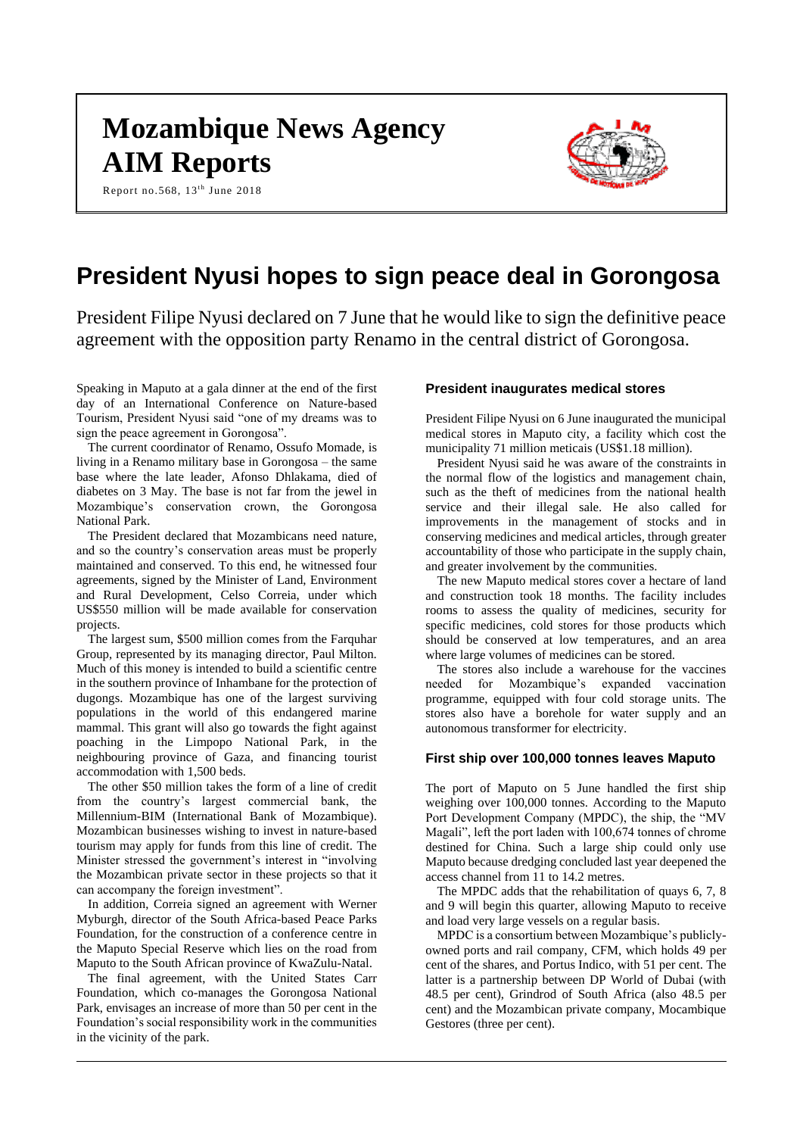# **Mozambique News Agency AIM Reports**

Report no.568,  $13^{\text{th}}$  June 2018



# **President Nyusi hopes to sign peace deal in Gorongosa**

President Filipe Nyusi declared on 7 June that he would like to sign the definitive peace agreement with the opposition party Renamo in the central district of Gorongosa.

Speaking in Maputo at a gala dinner at the end of the first day of an International Conference on Nature-based Tourism, President Nyusi said "one of my dreams was to sign the peace agreement in Gorongosa".

The current coordinator of Renamo, Ossufo Momade, is living in a Renamo military base in Gorongosa – the same base where the late leader, Afonso Dhlakama, died of diabetes on 3 May. The base is not far from the jewel in Mozambique's conservation crown, the Gorongosa National Park.

The President declared that Mozambicans need nature, and so the country's conservation areas must be properly maintained and conserved. To this end, he witnessed four agreements, signed by the Minister of Land, Environment and Rural Development, Celso Correia, under which US\$550 million will be made available for conservation projects.

The largest sum, \$500 million comes from the Farquhar Group, represented by its managing director, Paul Milton. Much of this money is intended to build a scientific centre in the southern province of Inhambane for the protection of dugongs. Mozambique has one of the largest surviving populations in the world of this endangered marine mammal. This grant will also go towards the fight against poaching in the Limpopo National Park, in the neighbouring province of Gaza, and financing tourist accommodation with 1,500 beds.

The other \$50 million takes the form of a line of credit from the country's largest commercial bank, the Millennium-BIM (International Bank of Mozambique). Mozambican businesses wishing to invest in nature-based tourism may apply for funds from this line of credit. The Minister stressed the government's interest in "involving the Mozambican private sector in these projects so that it can accompany the foreign investment".

In addition, Correia signed an agreement with Werner Myburgh, director of the South Africa-based Peace Parks Foundation, for the construction of a conference centre in the Maputo Special Reserve which lies on the road from Maputo to the South African province of KwaZulu-Natal.

The final agreement, with the United States Carr Foundation, which co-manages the Gorongosa National Park, envisages an increase of more than 50 per cent in the Foundation's social responsibility work in the communities in the vicinity of the park.

#### **President inaugurates medical stores**

President Filipe Nyusi on 6 June inaugurated the municipal medical stores in Maputo city, a facility which cost the municipality 71 million meticais (US\$1.18 million).

President Nyusi said he was aware of the constraints in the normal flow of the logistics and management chain, such as the theft of medicines from the national health service and their illegal sale. He also called for improvements in the management of stocks and in conserving medicines and medical articles, through greater accountability of those who participate in the supply chain, and greater involvement by the communities.

The new Maputo medical stores cover a hectare of land and construction took 18 months. The facility includes rooms to assess the quality of medicines, security for specific medicines, cold stores for those products which should be conserved at low temperatures, and an area where large volumes of medicines can be stored.

The stores also include a warehouse for the vaccines needed for Mozambique's expanded vaccination programme, equipped with four cold storage units. The stores also have a borehole for water supply and an autonomous transformer for electricity.

#### **First ship over 100,000 tonnes leaves Maputo**

The port of Maputo on 5 June handled the first ship weighing over 100,000 tonnes. According to the Maputo Port Development Company (MPDC), the ship, the "MV Magali", left the port laden with 100,674 tonnes of chrome destined for China. Such a large ship could only use Maputo because dredging concluded last year deepened the access channel from 11 to 14.2 metres.

The MPDC adds that the rehabilitation of quays 6, 7, 8 and 9 will begin this quarter, allowing Maputo to receive and load very large vessels on a regular basis.

MPDC is a consortium between Mozambique's publiclyowned ports and rail company, CFM, which holds 49 per cent of the shares, and Portus Indico, with 51 per cent. The latter is a partnership between DP World of Dubai (with 48.5 per cent), Grindrod of South Africa (also 48.5 per cent) and the Mozambican private company, Mocambique Gestores (three per cent).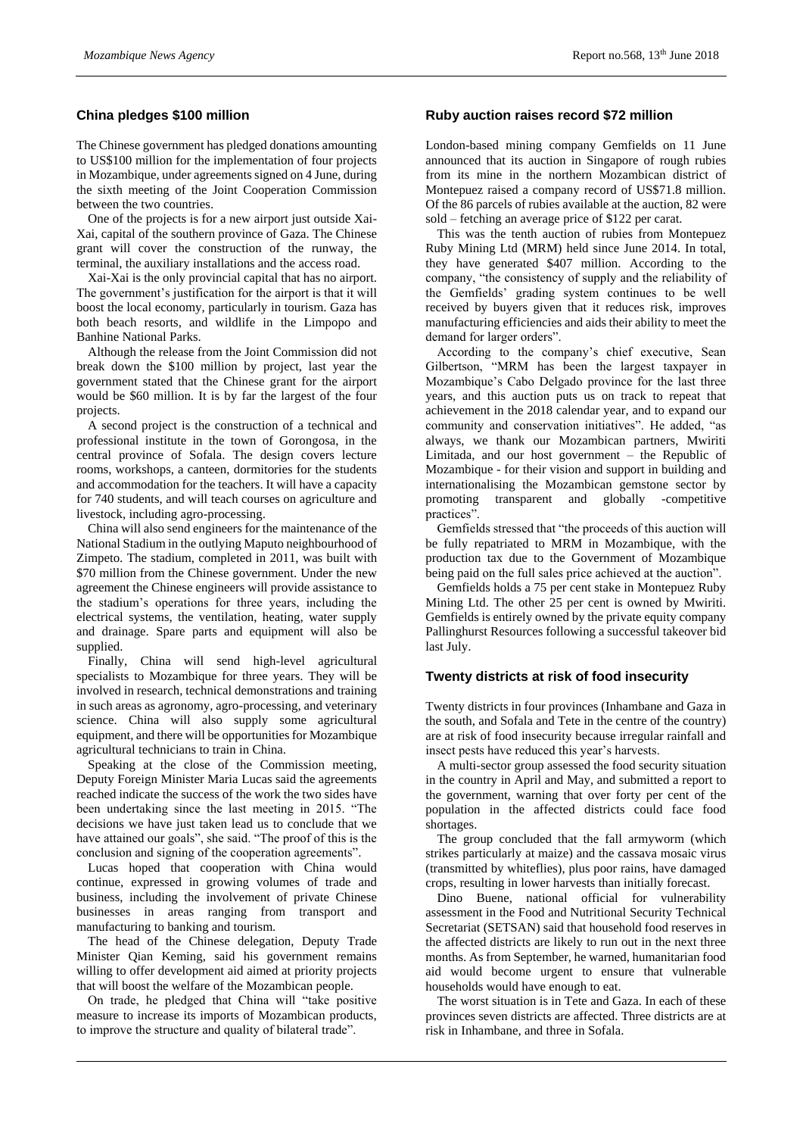### **China pledges \$100 million**

The Chinese government has pledged donations amounting to US\$100 million for the implementation of four projects in Mozambique, under agreements signed on 4 June, during the sixth meeting of the Joint Cooperation Commission between the two countries.

One of the projects is for a new airport just outside Xai-Xai, capital of the southern province of Gaza. The Chinese grant will cover the construction of the runway, the terminal, the auxiliary installations and the access road.

Xai-Xai is the only provincial capital that has no airport. The government's justification for the airport is that it will boost the local economy, particularly in tourism. Gaza has both beach resorts, and wildlife in the Limpopo and Banhine National Parks.

Although the release from the Joint Commission did not break down the \$100 million by project, last year the government stated that the Chinese grant for the airport would be \$60 million. It is by far the largest of the four projects.

A second project is the construction of a technical and professional institute in the town of Gorongosa, in the central province of Sofala. The design covers lecture rooms, workshops, a canteen, dormitories for the students and accommodation for the teachers. It will have a capacity for 740 students, and will teach courses on agriculture and livestock, including agro-processing.

China will also send engineers for the maintenance of the National Stadium in the outlying Maputo neighbourhood of Zimpeto. The stadium, completed in 2011, was built with \$70 million from the Chinese government. Under the new agreement the Chinese engineers will provide assistance to the stadium's operations for three years, including the electrical systems, the ventilation, heating, water supply and drainage. Spare parts and equipment will also be supplied.

Finally, China will send high-level agricultural specialists to Mozambique for three years. They will be involved in research, technical demonstrations and training in such areas as agronomy, agro-processing, and veterinary science. China will also supply some agricultural equipment, and there will be opportunities for Mozambique agricultural technicians to train in China.

Speaking at the close of the Commission meeting, Deputy Foreign Minister Maria Lucas said the agreements reached indicate the success of the work the two sides have been undertaking since the last meeting in 2015. "The decisions we have just taken lead us to conclude that we have attained our goals", she said. "The proof of this is the conclusion and signing of the cooperation agreements".

Lucas hoped that cooperation with China would continue, expressed in growing volumes of trade and business, including the involvement of private Chinese businesses in areas ranging from transport and manufacturing to banking and tourism.

The head of the Chinese delegation, Deputy Trade Minister Qian Keming, said his government remains willing to offer development aid aimed at priority projects that will boost the welfare of the Mozambican people.

On trade, he pledged that China will "take positive measure to increase its imports of Mozambican products, to improve the structure and quality of bilateral trade".

#### **Ruby auction raises record \$72 million**

London-based mining company Gemfields on 11 June announced that its auction in Singapore of rough rubies from its mine in the northern Mozambican district of Montepuez raised a company record of US\$71.8 million. Of the 86 parcels of rubies available at the auction, 82 were sold – fetching an average price of \$122 per carat.

This was the tenth auction of rubies from Montepuez Ruby Mining Ltd (MRM) held since June 2014. In total, they have generated \$407 million. According to the company, "the consistency of supply and the reliability of the Gemfields' grading system continues to be well received by buyers given that it reduces risk, improves manufacturing efficiencies and aids their ability to meet the demand for larger orders".

According to the company's chief executive, Sean Gilbertson, "MRM has been the largest taxpayer in Mozambique's Cabo Delgado province for the last three years, and this auction puts us on track to repeat that achievement in the 2018 calendar year, and to expand our community and conservation initiatives". He added, "as always, we thank our Mozambican partners, Mwiriti Limitada, and our host government – the Republic of Mozambique - for their vision and support in building and internationalising the Mozambican gemstone sector by promoting transparent and globally -competitive practices".

Gemfields stressed that "the proceeds of this auction will be fully repatriated to MRM in Mozambique, with the production tax due to the Government of Mozambique being paid on the full sales price achieved at the auction".

Gemfields holds a 75 per cent stake in Montepuez Ruby Mining Ltd. The other 25 per cent is owned by Mwiriti. Gemfields is entirely owned by the private equity company Pallinghurst Resources following a successful takeover bid last July.

#### **Twenty districts at risk of food insecurity**

Twenty districts in four provinces (Inhambane and Gaza in the south, and Sofala and Tete in the centre of the country) are at risk of food insecurity because irregular rainfall and insect pests have reduced this year's harvests.

A multi-sector group assessed the food security situation in the country in April and May, and submitted a report to the government, warning that over forty per cent of the population in the affected districts could face food shortages.

The group concluded that the fall armyworm (which strikes particularly at maize) and the cassava mosaic virus (transmitted by whiteflies), plus poor rains, have damaged crops, resulting in lower harvests than initially forecast.

Dino Buene, national official for vulnerability assessment in the Food and Nutritional Security Technical Secretariat (SETSAN) said that household food reserves in the affected districts are likely to run out in the next three months. As from September, he warned, humanitarian food aid would become urgent to ensure that vulnerable households would have enough to eat.

The worst situation is in Tete and Gaza. In each of these provinces seven districts are affected. Three districts are at risk in Inhambane, and three in Sofala.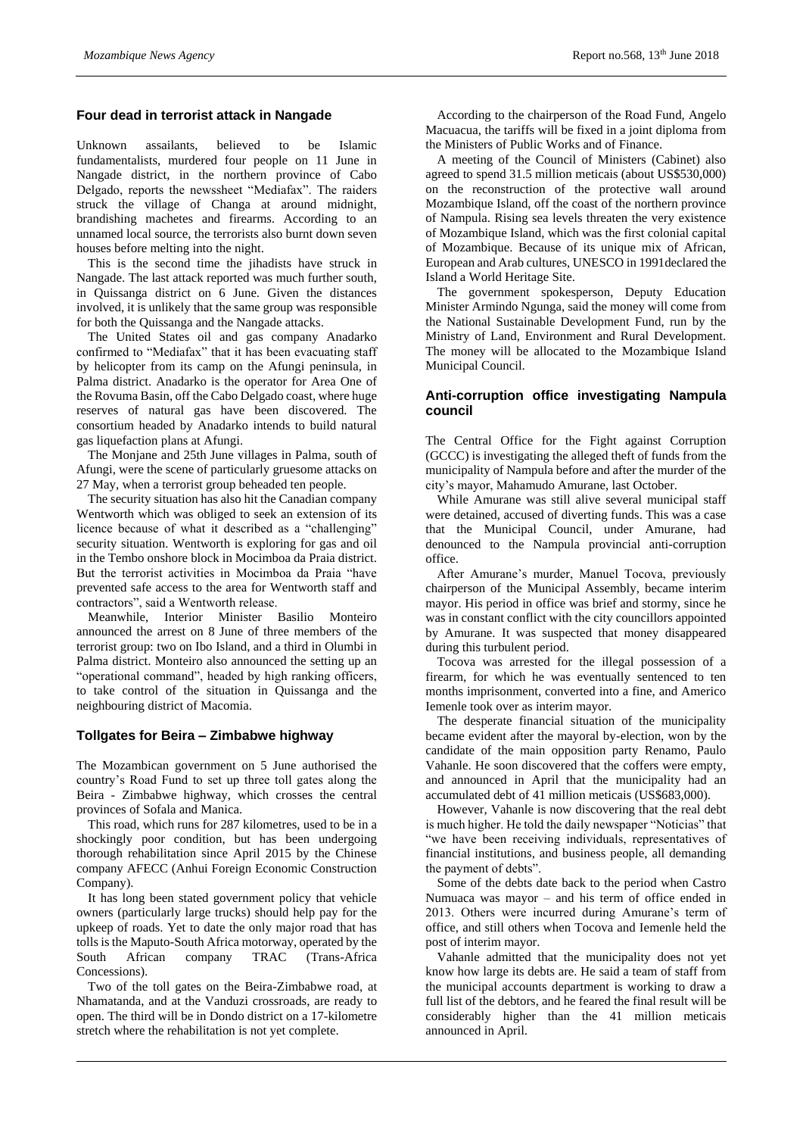# **Four dead in terrorist attack in Nangade**

Unknown assailants, believed to be Islamic fundamentalists, murdered four people on 11 June in Nangade district, in the northern province of Cabo Delgado, reports the newssheet "Mediafax". The raiders struck the village of Changa at around midnight, brandishing machetes and firearms. According to an unnamed local source, the terrorists also burnt down seven houses before melting into the night.

This is the second time the jihadists have struck in Nangade. The last attack reported was much further south, in Quissanga district on 6 June. Given the distances involved, it is unlikely that the same group was responsible for both the Quissanga and the Nangade attacks.

The United States oil and gas company Anadarko confirmed to "Mediafax" that it has been evacuating staff by helicopter from its camp on the Afungi peninsula, in Palma district. Anadarko is the operator for Area One of the Rovuma Basin, off the Cabo Delgado coast, where huge reserves of natural gas have been discovered. The consortium headed by Anadarko intends to build natural gas liquefaction plans at Afungi.

The Monjane and 25th June villages in Palma, south of Afungi, were the scene of particularly gruesome attacks on 27 May, when a terrorist group beheaded ten people.

The security situation has also hit the Canadian company Wentworth which was obliged to seek an extension of its licence because of what it described as a "challenging" security situation. Wentworth is exploring for gas and oil in the Tembo onshore block in Mocimboa da Praia district. But the terrorist activities in Mocimboa da Praia "have prevented safe access to the area for Wentworth staff and contractors", said a Wentworth release.

Meanwhile, Interior Minister Basilio Monteiro announced the arrest on 8 June of three members of the terrorist group: two on Ibo Island, and a third in Olumbi in Palma district. Monteiro also announced the setting up an "operational command", headed by high ranking officers, to take control of the situation in Quissanga and the neighbouring district of Macomia.

# **Tollgates for Beira – Zimbabwe highway**

The Mozambican government on 5 June authorised the country's Road Fund to set up three toll gates along the Beira - Zimbabwe highway, which crosses the central provinces of Sofala and Manica.

This road, which runs for 287 kilometres, used to be in a shockingly poor condition, but has been undergoing thorough rehabilitation since April 2015 by the Chinese company AFECC (Anhui Foreign Economic Construction Company).

It has long been stated government policy that vehicle owners (particularly large trucks) should help pay for the upkeep of roads. Yet to date the only major road that has tolls is the Maputo-South Africa motorway, operated by the South African company TRAC (Trans-Africa Concessions).

Two of the toll gates on the Beira-Zimbabwe road, at Nhamatanda, and at the Vanduzi crossroads, are ready to open. The third will be in Dondo district on a 17-kilometre stretch where the rehabilitation is not yet complete.

According to the chairperson of the Road Fund, Angelo Macuacua, the tariffs will be fixed in a joint diploma from the Ministers of Public Works and of Finance.

A meeting of the Council of Ministers (Cabinet) also agreed to spend 31.5 million meticais (about US\$530,000) on the reconstruction of the protective wall around Mozambique Island, off the coast of the northern province of Nampula. Rising sea levels threaten the very existence of Mozambique Island, which was the first colonial capital of Mozambique. Because of its unique mix of African, European and Arab cultures, UNESCO in 1991declared the Island a World Heritage Site.

The government spokesperson, Deputy Education Minister Armindo Ngunga, said the money will come from the National Sustainable Development Fund, run by the Ministry of Land, Environment and Rural Development. The money will be allocated to the Mozambique Island Municipal Council.

# **Anti-corruption office investigating Nampula council**

The Central Office for the Fight against Corruption (GCCC) is investigating the alleged theft of funds from the municipality of Nampula before and after the murder of the city's mayor, Mahamudo Amurane, last October.

While Amurane was still alive several municipal staff were detained, accused of diverting funds. This was a case that the Municipal Council, under Amurane, had denounced to the Nampula provincial anti-corruption office.

After Amurane's murder, Manuel Tocova, previously chairperson of the Municipal Assembly, became interim mayor. His period in office was brief and stormy, since he was in constant conflict with the city councillors appointed by Amurane. It was suspected that money disappeared during this turbulent period.

Tocova was arrested for the illegal possession of a firearm, for which he was eventually sentenced to ten months imprisonment, converted into a fine, and Americo Iemenle took over as interim mayor.

The desperate financial situation of the municipality became evident after the mayoral by-election, won by the candidate of the main opposition party Renamo, Paulo Vahanle. He soon discovered that the coffers were empty, and announced in April that the municipality had an accumulated debt of 41 million meticais (US\$683,000).

However, Vahanle is now discovering that the real debt is much higher. He told the daily newspaper "Noticias" that "we have been receiving individuals, representatives of financial institutions, and business people, all demanding the payment of debts".

Some of the debts date back to the period when Castro Numuaca was mayor – and his term of office ended in 2013. Others were incurred during Amurane's term of office, and still others when Tocova and Iemenle held the post of interim mayor.

Vahanle admitted that the municipality does not yet know how large its debts are. He said a team of staff from the municipal accounts department is working to draw a full list of the debtors, and he feared the final result will be considerably higher than the 41 million meticais announced in April.